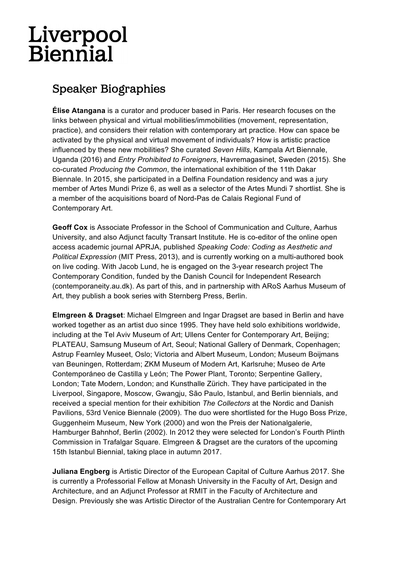## Liverpool<br>Biennial

## Speaker Biographies

**Élise Atangana** is a curator and producer based in Paris. Her research focuses on the links between physical and virtual mobilities/immobilities (movement, representation, practice), and considers their relation with contemporary art practice. How can space be activated by the physical and virtual movement of individuals? How is artistic practice influenced by these new mobilities? She curated *Seven Hills*, Kampala Art Biennale, Uganda (2016) and *Entry Prohibited to Foreigners*, Havremagasinet, Sweden (2015). She co-curated *Producing the Common*, the international exhibition of the 11th Dakar Biennale. In 2015, she participated in a Delfina Foundation residency and was a jury member of Artes Mundi Prize 6, as well as a selector of the Artes Mundi 7 shortlist. She is a member of the acquisitions board of Nord-Pas de Calais Regional Fund of Contemporary Art.

**Geoff Cox** is Associate Professor in the School of Communication and Culture, Aarhus University, and also Adjunct faculty Transart Institute. He is co-editor of the online open access academic journal APRJA, published *Speaking Code: Coding as Aesthetic and Political Expression* (MIT Press, 2013), and is currently working on a multi-authored book on live coding. With Jacob Lund, he is engaged on the 3-year research project The Contemporary Condition, funded by the Danish Council for Independent Research (contemporaneity.au.dk). As part of this, and in partnership with ARoS Aarhus Museum of Art, they publish a book series with Sternberg Press, Berlin.

**Elmgreen & Dragset**: Michael Elmgreen and Ingar Dragset are based in Berlin and have worked together as an artist duo since 1995. They have held solo exhibitions worldwide, including at the Tel Aviv Museum of Art; Ullens Center for Contemporary Art, Beijing; PLATEAU, Samsung Museum of Art, Seoul; National Gallery of Denmark, Copenhagen; Astrup Fearnley Museet, Oslo; Victoria and Albert Museum, London; Museum Boijmans van Beuningen, Rotterdam; ZKM Museum of Modern Art, Karlsruhe; Museo de Arte Contemporáneo de Castilla y León; The Power Plant, Toronto; Serpentine Gallery, London; Tate Modern, London; and Kunsthalle Zürich. They have participated in the Liverpool, Singapore, Moscow, Gwangju, São Paulo, Istanbul, and Berlin biennials, and received a special mention for their exhibition *The Collectors* at the Nordic and Danish Pavilions, 53rd Venice Biennale (2009). The duo were shortlisted for the Hugo Boss Prize, Guggenheim Museum, New York (2000) and won the Preis der Nationalgalerie, Hamburger Bahnhof, Berlin (2002). In 2012 they were selected for London's Fourth Plinth Commission in Trafalgar Square. Elmgreen & Dragset are the curators of the upcoming 15th Istanbul Biennial, taking place in autumn 2017.

**Juliana Engberg** is Artistic Director of the European Capital of Culture Aarhus 2017. She is currently a Professorial Fellow at Monash University in the Faculty of Art, Design and Architecture, and an Adjunct Professor at RMIT in the Faculty of Architecture and Design. Previously she was Artistic Director of the Australian Centre for Contemporary Art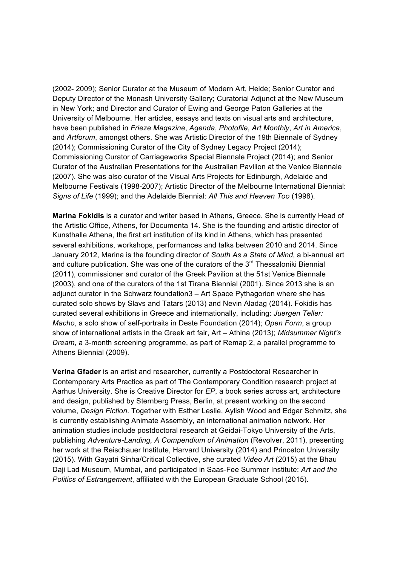(2002- 2009); Senior Curator at the Museum of Modern Art, Heide; Senior Curator and Deputy Director of the Monash University Gallery; Curatorial Adjunct at the New Museum in New York; and Director and Curator of Ewing and George Paton Galleries at the University of Melbourne. Her articles, essays and texts on visual arts and architecture, have been published in *Frieze Magazine*, *Agenda*, *Photofile*, *Art Monthly*, *Art in America*, and *Artforum*, amongst others. She was Artistic Director of the 19th Biennale of Sydney (2014); Commissioning Curator of the City of Sydney Legacy Project (2014); Commissioning Curator of Carriageworks Special Biennale Project (2014); and Senior Curator of the Australian Presentations for the Australian Pavilion at the Venice Biennale (2007). She was also curator of the Visual Arts Projects for Edinburgh, Adelaide and Melbourne Festivals (1998-2007); Artistic Director of the Melbourne International Biennial: *Signs of Life* (1999); and the Adelaide Biennial: *All This and Heaven Too* (1998).

**Marina Fokidis** is a curator and writer based in Athens, Greece. She is currently Head of the Artistic Office, Athens, for Documenta 14. She is the founding and artistic director of Kunsthalle Athena, the first art institution of its kind in Athens, which has presented several exhibitions, workshops, performances and talks between 2010 and 2014. Since January 2012, Marina is the founding director of *South As a State of Mind*, a bi-annual art and culture publication. She was one of the curators of the  $3<sup>rd</sup>$  Thessaloniki Biennial (2011), commissioner and curator of the Greek Pavilion at the 51st Venice Biennale (2003), and one of the curators of the 1st Tirana Biennial (2001). Since 2013 she is an adjunct curator in the Schwarz foundation3 – Art Space Pythagorion where she has curated solo shows by Slavs and Tatars (2013) and Nevin Aladag (2014). Fokidis has curated several exhibitions in Greece and internationally, including: *Juergen Teller: Macho*, a solo show of self-portraits in Deste Foundation (2014); *Open Form*, a group show of international artists in the Greek art fair, Art – Athina (2013); *Midsummer Night's Dream*, a 3-month screening programme, as part of Remap 2, a parallel programme to Athens Biennial (2009).

**Verina Gfader** is an artist and researcher, currently a Postdoctoral Researcher in Contemporary Arts Practice as part of The Contemporary Condition research project at Aarhus University. She is Creative Director for *EP*, a book series across art, architecture and design, published by Sternberg Press, Berlin, at present working on the second volume, *Design Fiction*. Together with Esther Leslie, Aylish Wood and Edgar Schmitz, she is currently establishing Animate Assembly, an international animation network. Her animation studies include postdoctoral research at Geidai-Tokyo University of the Arts, publishing *Adventure-Landing, A Compendium of Animation* (Revolver, 2011), presenting her work at the Reischauer Institute, Harvard University (2014) and Princeton University (2015). With Gayatri Sinha/Critical Collective, she curated *Video Art* (2015) at the Bhau Daji Lad Museum, Mumbai, and participated in Saas-Fee Summer Institute: *Art and the Politics of Estrangement*, affiliated with the European Graduate School (2015).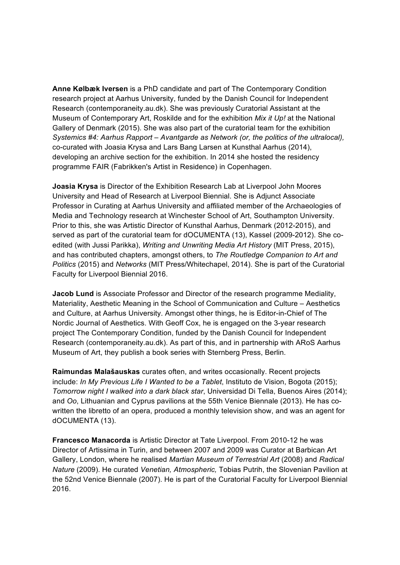**Anne Kølbæk Iversen** is a PhD candidate and part of The Contemporary Condition research project at Aarhus University, funded by the Danish Council for Independent Research (contemporaneity.au.dk). She was previously Curatorial Assistant at the Museum of Contemporary Art, Roskilde and for the exhibition *Mix it Up!* at the National Gallery of Denmark (2015). She was also part of the curatorial team for the exhibition *Systemics #4: Aarhus Rapport – Avantgarde as Network (or, the politics of the ultralocal),*  co-curated with Joasia Krysa and Lars Bang Larsen at Kunsthal Aarhus (2014), developing an archive section for the exhibition. In 2014 she hosted the residency programme FAIR (Fabrikken's Artist in Residence) in Copenhagen.

**Joasia Krysa** is Director of the Exhibition Research Lab at Liverpool John Moores University and Head of Research at Liverpool Biennial. She is Adjunct Associate Professor in Curating at Aarhus University and affiliated member of the Archaeologies of Media and Technology research at Winchester School of Art, Southampton University. Prior to this, she was Artistic Director of Kunsthal Aarhus, Denmark (2012-2015), and served as part of the curatorial team for dOCUMENTA (13), Kassel (2009-2012). She coedited (with Jussi Parikka), *Writing and Unwriting Media Art History* (MIT Press, 2015), and has contributed chapters, amongst others, to *The Routledge Companion to Art and Politics* (2015) and *Networks* (MIT Press/Whitechapel, 2014). She is part of the Curatorial Faculty for Liverpool Biennial 2016.

**Jacob Lund** is Associate Professor and Director of the research programme Mediality, Materiality, Aesthetic Meaning in the School of Communication and Culture – Aesthetics and Culture, at Aarhus University. Amongst other things, he is Editor-in-Chief of The Nordic Journal of Aesthetics. With Geoff Cox, he is engaged on the 3-year research project The Contemporary Condition, funded by the Danish Council for Independent Research (contemporaneity.au.dk). As part of this, and in partnership with ARoS Aarhus Museum of Art, they publish a book series with Sternberg Press, Berlin.

**Raimundas Malašauskas** curates often, and writes occasionally. Recent projects include: *In My Previous Life I Wanted to be a Tablet*, Instituto de Vision, Bogota (2015); *Tomorrow night I walked into a dark black star*, Universidad Di Tella, Buenos Aires (2014); and *Oo*, Lithuanian and Cyprus pavilions at the 55th Venice Biennale (2013). He has cowritten the libretto of an opera, produced a monthly television show, and was an agent for dOCUMENTA (13).

**Francesco Manacorda** is Artistic Director at Tate Liverpool. From 2010-12 he was Director of Artissima in Turin, and between 2007 and 2009 was Curator at Barbican Art Gallery, London, where he realised *Martian Museum of Terrestrial Art* (2008) and *Radical Nature* (2009). He curated *Venetian, Atmospheric,* Tobias Putrih, the Slovenian Pavilion at the 52nd Venice Biennale (2007). He is part of the Curatorial Faculty for Liverpool Biennial 2016.